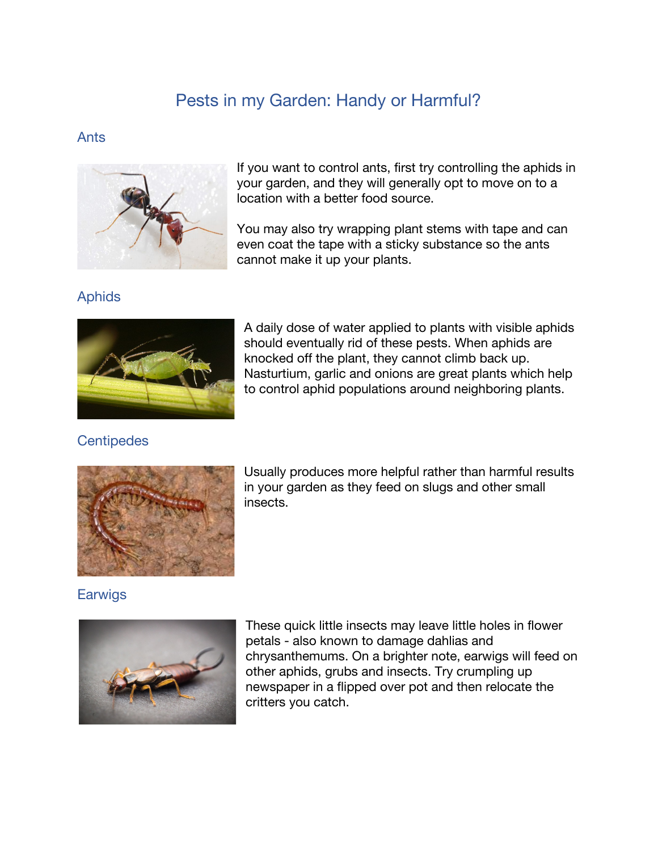# Pests in my Garden: Handy or Harmful?

#### Ants



If you want to control ants, first try controlling the aphids in your garden, and they will generally opt to move on to a location with a better food source.

You may also try wrapping plant stems with tape and can even coat the tape with a sticky substance so the ants cannot make it up your plants.

Aphids



A daily dose of water applied to plants with visible aphids should eventually rid of these pests. When aphids are knocked off the plant, they cannot climb back up. Nasturtium, garlic and onions are great plants which help to control aphid populations around neighboring plants.

# **Centipedes**



Usually produces more helpful rather than harmful results in your garden as they feed on slugs and other small insects.

Earwigs



These quick little insects may leave little holes in flower petals - also known to damage dahlias and chrysanthemums. On a brighter note, earwigs will feed on other aphids, grubs and insects. Try crumpling up newspaper in a flipped over pot and then relocate the critters you catch.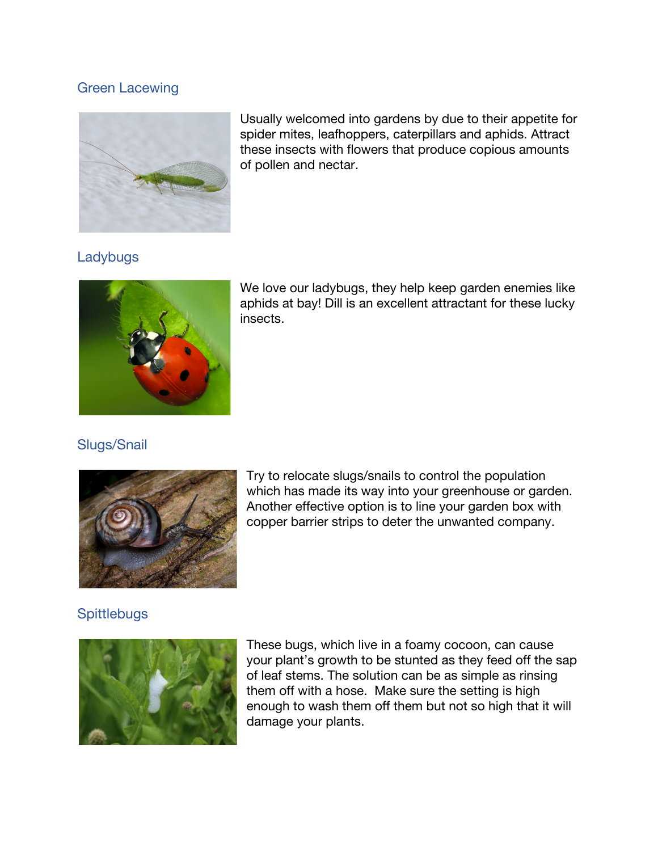#### Green Lacewing



Usually welcomed into gardens by due to their appetite for spider mites, leafhoppers, caterpillars and aphids. Attract these insects with flowers that produce copious amounts of pollen and nectar.

# Ladybugs



We love our ladybugs, they help keep garden enemies like aphids at bay! Dill is an excellent attractant for these lucky insects.

# Slugs/Snail



Try to relocate slugs/snails to control the population which has made its way into your greenhouse or garden. Another effective option is to line your garden box with copper barrier strips to deter the unwanted company.

#### **Spittlebugs**



These bugs, which live in a foamy cocoon, can cause your plant's growth to be stunted as they feed off the sap of leaf stems. The solution can be as simple as rinsing them off with a hose. Make sure the setting is high enough to wash them off them but not so high that it will damage your plants.